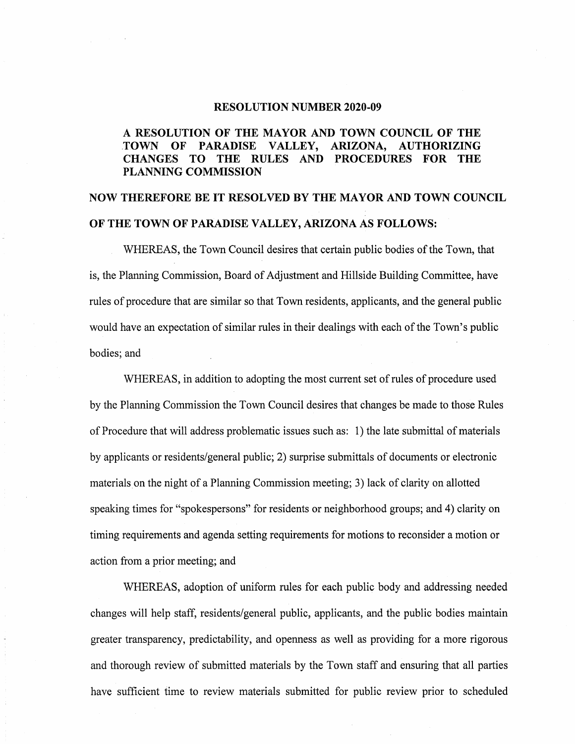#### **RESOLUTION NUMBER 2020-09**

### **A RESOLUTION OF THE MAYOR AND TOWN COUNCIL OF THE .TOWN OF PARADISE VALLEY, ARIZONA, AUTHORIZING CHANGES TO THE RULES AND PROCEDURES FOR THE PLANNING COMMISSION**

# **NOW THEREFORE BE IT RESOLVED BY THE MAYOR AND TOWN COUNCIL OF THE TOWN OF PARADISE VALLEY, ARIZONA AS FOLLOWS:**

WHEREAS, the Town Council desires that certain public bodies of the Town, that is, the Planning Commission, Board of Adjustment and Hillside Building Committee, have rules of procedure that are similar so that Town residents, applicants, and the general public would have an expectation of similar rules in their dealings with each of the Town's public bodies; and

WHEREAS, in addition to adopting the most current set of rules of procedure used by the Planning Commission the Town Council desires that changes be made to those Rules of Procedure that will address problematic issues such as: 1) the late submittal of materials by applicants or residents/general public; 2) surprise submittals of documents or electronic materials on the night of a Planning Commission meeting; 3) lack of clarity on allotted speaking times for "spokespersons" for residents or neighborhood groups; and 4) clarity on timing requirements and agenda setting requirements for motions to reconsider a motion or action from a prior meeting; and

WHEREAS, adoption of uniform rules for each public body and addressing needed changes will help staff, residents/general public, applicants, and the public bodies maintain greater transparency, predictability, and openness as well as providing for a more rigorous and thorough review of submitted materials by the Town staff and ensuring that all parties have sufficient time to review materials submitted for public review prior to scheduled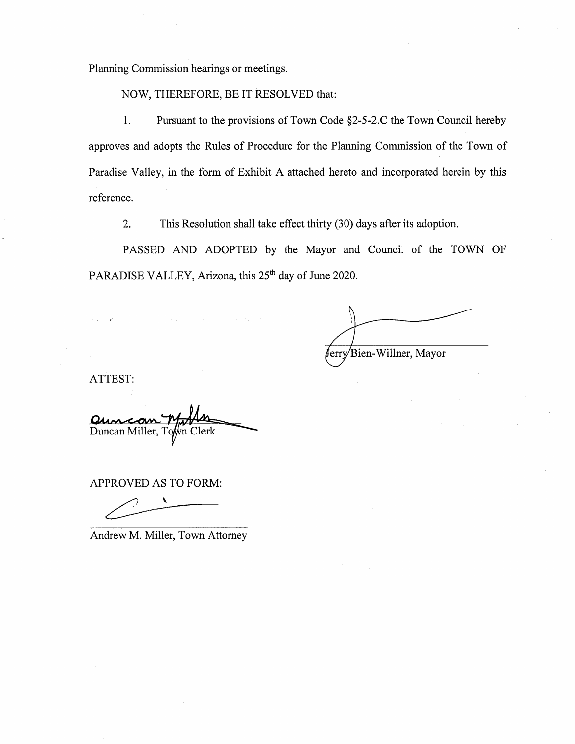Planning Commission hearings or meetings.

NOW, THEREFORE, BE IT RESOLVED that:

1. Pursuant to the provisions of Town Code §2-5-2.C the Town Council hereby approves and adopts the Rules of Procedure for the Planning Commission of the Town of Paradise Valley, in the form of Exhibit A attached hereto and incorporated herein by this reference.

2. This Resolution shall take effect thirty (30) days after its adoption.

PASSED AND ADOPTED by the Mayor and Council of the TOWN OF PARADISE VALLEY, Arizona, this 25<sup>th</sup> day of June 2020.

ferry Bien-Willner, Mayor

ATTEST:

Duncan Miller, To n Clerk

APPROVED AS TO FORM:

Andrew M. Miller, Town Attorney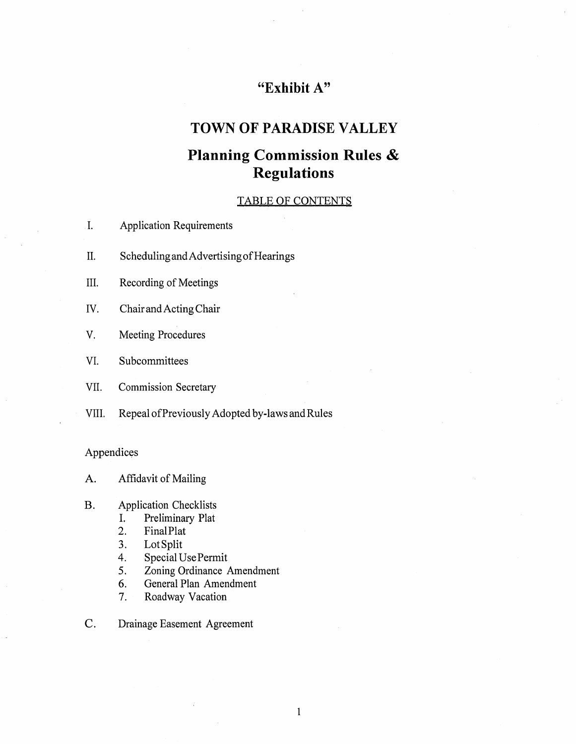## **"Exhibit A"**

## **TOWN OF PARADISE VALLEY**

## **Planning Commission Rules** & **Regulations**

### TABLE OF CONTENTS

- I. Application Requirements
- II. Scheduling and Advertising of Hearings
- III. Recording of Meetings
- IV. Chair and Acting Chair
- V. Meeting Procedures
- VI. Subcommittees
- VII. Commission Secretary
- VIII. Repeal of Previously Adopted by-laws and Rules

### Appendices

A. Affidavit of Mailing

- B. Application Checklists
	- I. Preliminary Plat
	- 2. FinalPlat
	- 3. LotSplit
	- 4. Special UsePermit
	- 5. Zoning Ordinance Amendment
	- 6. General Plan Amendment
	- 7. Roadway Vacation
- C. Drainage Easement Agreement

 $\mathbf{1}$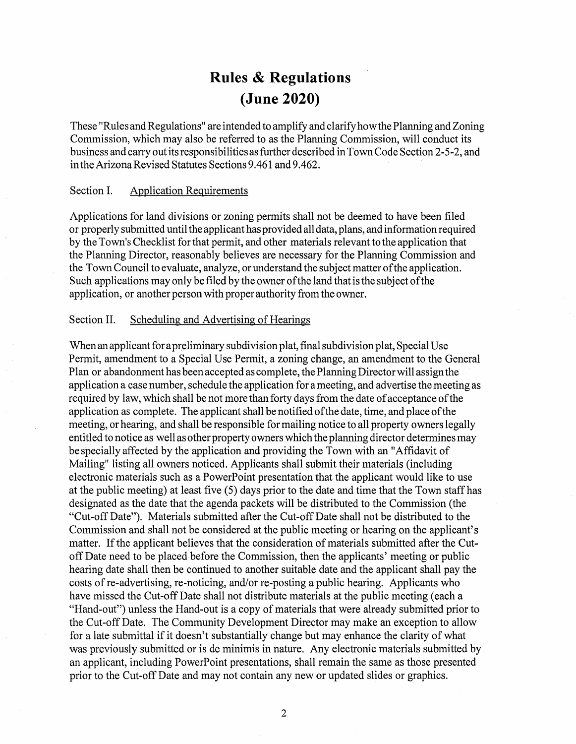# **Rules & Regulations (June 2020)**

These "Rules and Regulations" are intended to amplify and clarify how the Planning and Zoning Commission, which may also be referred to as the Planning Commission, will conduct its business and carry out its responsibilities as further described in Town Code Section 2-5-2, and in the Arizona Revised Statutes Sections 9 .461 and 9 .462.

#### Section I. Application Requirements

Applications for land divisions or zoning permits shall not be deemed to have been filed or properly submitted until the applicant has provided all data, plans, and information required by the Town's Checklist for that permit, and other materials relevant to the application that the Planning Director, reasonably believes are necessary for the Planning Commission and the Town Council to evaluate, analyze, or understand the subject matter of the application. Such applications may only be filed by the owner of the land that is the subject of the application, or another person with proper authority from the owner.

#### Section II. Scheduling and Advertising of Hearings

When an applicant for a preliminary subdivision plat, final subdivision plat, Special Use Permit, amendment to a Special Use Permit, a zoning change, an amendment to the General Plan or abandonment has been accepted as complete, the Planning Director will assign the application a case number, schedule the application for a meeting, and advertise the meeting as required by law, which shall be not more than forty days from the date of acceptance of the application as complete. The applicant shall be notified of the date, time, and place of the meeting, or hearing, and shall be responsible for mailing notice to all property owners legally entitled to notice as well as other property owners which the planning director determines may be specially affected by the application and providing the Town with an "Affidavit of Mailing" listing all owners noticed. Applicants shall submit their materials (including electronic materials such as a PowerPoint presentation that the applicant would like to use at the public meeting) at least five (5) days prior to the date and time that the Town staff has designated as the date that the agenda packets will be distributed to the Commission ( the "Cut-off Date"). Materials submitted after the Cut-off Date shall not be distributed to the Commission and shall not be considered at the public meeting or hearing on the applicant's matter. If the applicant believes that the consideration of materials submitted after the Cutoff Date need to be placed-before the Commission, then the applicants' meeting or public hearing date shall then be continued to another suitable date and the applicant shall pay the costs of re-advertising, re-noticing, and/or re-posting a public hearing. Applicants who have missed the Cut-off Date shall not distribute materials at the public meeting (each a "Hand-out") unless the Hand-out is a copy of materials that were already submitted prior to the Cut-off Date. The Community Development Director may make an exception to allow for a late submittal if it doesn't substantially change but may enhance the clarity of what was previously submitted or is de minimis in nature. Any electronic materials submitted by an applicant, including PowerPoint presentations, shall remain the same as those presented prior to the Cut-off Date and may not contain any new or updated slides or graphics.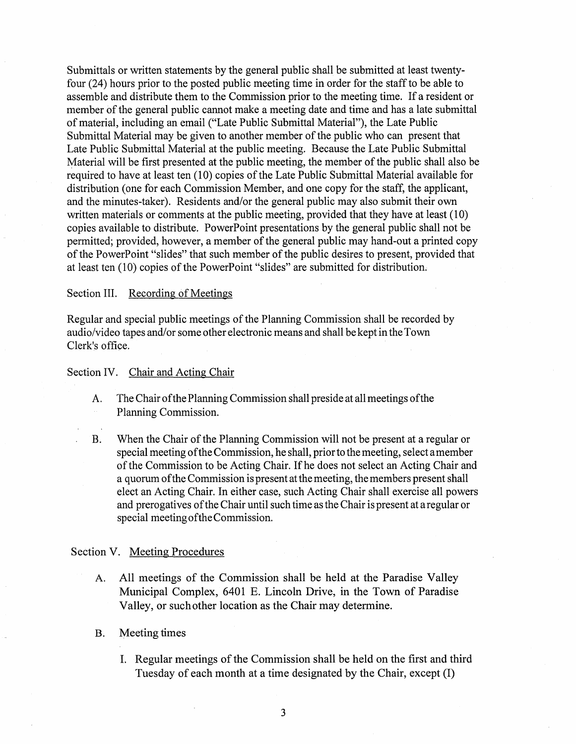Submittals or written statements by the general public shall be submitted at least twentyfour (24) hours prior to the posted public meeting time in order for the staff to be able to assemble and distribute them to the Commission prior to the meeting time. If a resident or member of the general public cannot make a meeting date and time and has a late submittal of material, including an email ("Late Public Submittal Material"), the Late Public Submittal Material may be given to another member of the public who can present that Late Public Submittal Material at the public meeting. Because the Late Public Submittal Material will be first presented at the public meeting, the member of the public shall also be required to have at least ten (10) copies of the Late Public Submittal Material available for distribution (one for each Commission Member, and one copy for the staff, the applicant, and the minutes-taker). Residents and/or the general public may also submit their own written materials or comments at the public meeting, provided that they have at least (10) copies available to distribute. PowerPoint presentations by the general public shall not be permitted; provided, however, a member of the general public may hand-out a printed copy of the PowerPoint "slides" that such member of the public desires to present, provided that at least ten (10) copies of the Power Point "slides" are submitted for distribution.

#### Section III. Recording of Meetings

Regular and special public meetings of the Planning Commission shall be recorded by audio/video tapes and/or some other electronic means and shall be kept in the Town Clerk's office.

#### Section IV. Chair and Acting Chair

- A. The Chair of the Planning Commission shall preside at all meetings of the Planning Commission.
- B. When the Chair of the Planning Commission will not be present at a regular or special meeting of the Commission, he shall, prior to the meeting, select a member of the Commission to be Acting Chair. If he does not select an Acting Chair and a quorum of the Commission is present at the meeting, the members present shall elect an Acting Chair. In either case, such Acting Chair shall exercise all powers and prerogatives of the Chair until such time as the Chair is present at a regular or special meeting of the Commission.

#### Section V. Meeting Procedures

- A. All meetings of the Commission shall be held at the Paradise Valley Municipal Complex, 6401 E. Lincoln Drive, in the Town of Paradise Valley, or such other location as the Chair may determine.
- B. Meeting times
	- I. Regular meetings of the Commission shall be held on the first and third Tuesday of each month at a time designated by the Chair, except (I)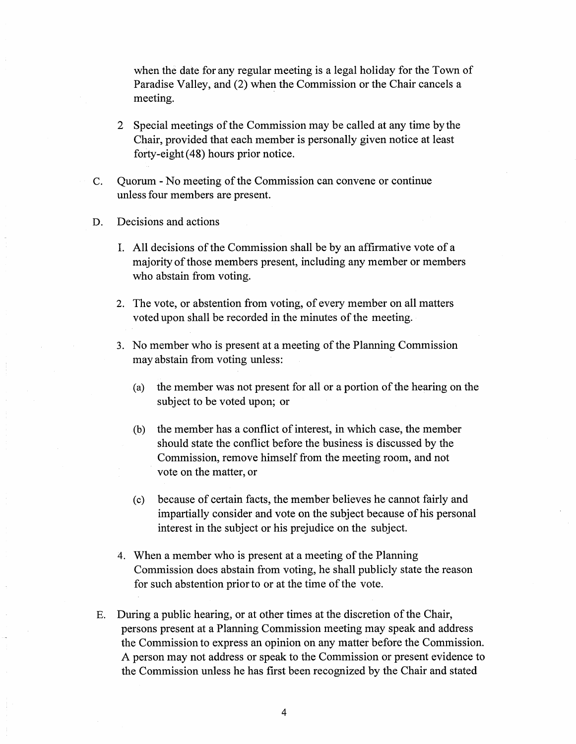when the date for any regular meeting is a legal holiday for the Town of Paradise Valley, and (2) when the Commission or the Chair cancels a meeting.

- 2 Special meetings of the Commission may be called at any time by the Chair, provided that each member is personally given notice at least forty-eight (48) hours prior notice.
- C. Quorum No meeting of the Commission can convene or continue unless four members are present.
- D. Decisions and actions
	- I. All decisions of the Commission shall be by an affirmative vote of a majority of those members present, including any member or members who abstain from voting.
	- 2. The vote, or abstention from voting, of every member on all matters voted upon shall be recorded in the minutes of the meeting.
	- 3. No member who is present at a meeting of the Planning Commission may abstain from voting unless:
		- (a) the member was not present for all or a portion of the hearing on the subject to be voted upon; or
		- (b) the member has a conflict of interest, in which case, the member should state the conflict before the business is discussed by the Commission, remove himself from the meeting room, and not vote on the matter, or
		- ( c) because of certain facts, the member believes he cannot fairly and impartially consider and vote on the subject because of his personal interest in the subject or his prejudice on the subject.
	- 4. When a member who is present at a meeting of the Planning Commission does abstain from voting, he shall publicly state the reason for such abstention prior to or at the time of the vote.
- E. During a public hearing, or at other times at the discretion of the Chair, persons present at a Planning Commission meeting may speak and address the Commission to express an opinion on any matter before the Commission. A person may not address or speak to the Commission or present evidence to the Commission unless he has first been recognized by the Chair and stated

4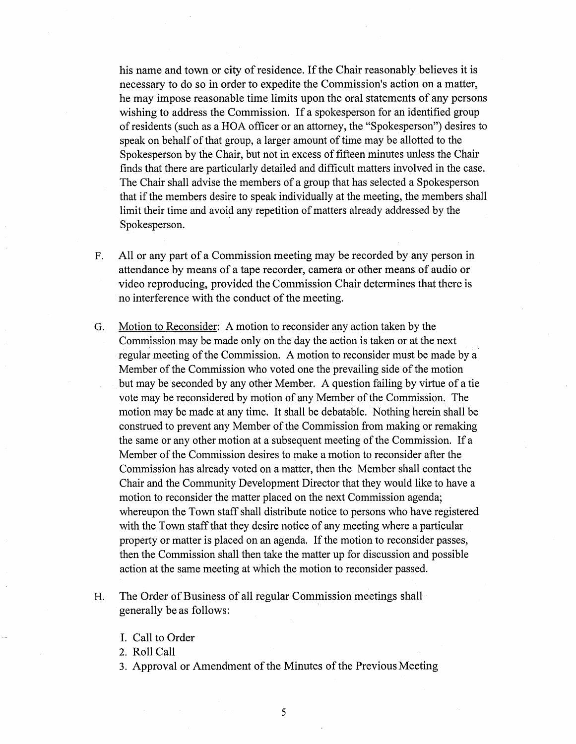his name and town or city of residence. If the Chair reasonably believes it is necessary to do so in order to expedite the Commission's action on a matter, he may impose reasonable time limits upon the oral statements of any persons wishing to address the Commission. If a spokesperson for an identified group of residents (such as a HOA officer or an attorney, the "Spokesperson") desires to speak on behalf of that group, a larger amount of time may be allotted to the Spokesperson by the Chair, but not in excess of fifteen minutes unless the Chair finds that there are particularly detailed and difficult matters involved in the case. The Chair shall advise the members of a group that has selected a Spokesperson that if the members desire to speak individually at the meeting, the members shall limit their time and avoid any repetition of matters already addressed by the Spokesperson.

- F. All or any part of a Commission meeting may be recorded by any person in attendance by means of a tape recorder, camera or other means of audio or video reproducing, provided the Commission Chair determines that there is no interference with the conduct of the meeting.
- G. Motion to Reconsider: A motion to reconsider any action taken by the Commission may be made only on the day the action is taken or at the next regular meeting of the Commission. A motion to reconsider must be made by a Member of the Commission who voted one the prevailing side of the motion but may be seconded by any other Member. A question failing by virtue of a tie vote may be reconsidered by motion of any Member of the Commission. The motion may be made at any time. It shall be debatable. Nothing herein shall be construed to prevent any Member of the Commission from making or remaking the same or any other motion at a subsequent meeting of the Commission. If a Member of the Commission desires to make a motion to reconsider after the Commission has already voted on a matter, then the Member shall contact the Chair and the Community Development Director that they would like to have a motion to reconsider the matter placed on the next Commission agenda; whereupon the Town staff shall distribute notice to persons who have registered with the Town staff that they desire notice of any meeting where a particular property or matter is placed on an agenda. If the motion to reconsider passes, then the Commission shall then take the matter up for discussion and possible action at the same meeting at which the motion to reconsider passed.
- H. The Order of Business of all regular Commission meetings shall generally be as follows:
	- I. Call to Order

2. Roll Call

3. Approval or Amendment of the Minutes of the Previous Meeting

5